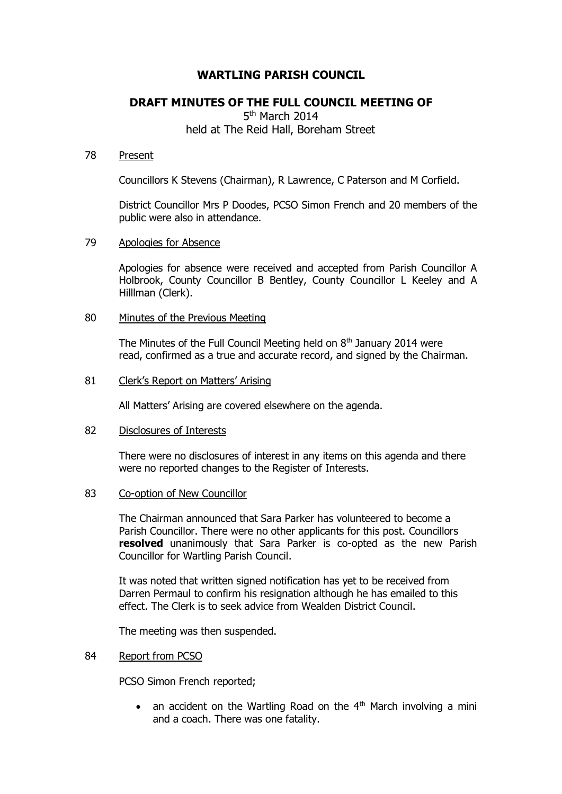# **WARTLING PARISH COUNCIL**

## **DRAFT MINUTES OF THE FULL COUNCIL MEETING OF**

5<sup>th</sup> March 2014 held at The Reid Hall, Boreham Street

#### 78 Present

Councillors K Stevens (Chairman), R Lawrence, C Paterson and M Corfield.

District Councillor Mrs P Doodes, PCSO Simon French and 20 members of the public were also in attendance.

## 79 Apologies for Absence

Apologies for absence were received and accepted from Parish Councillor A Holbrook, County Councillor B Bentley, County Councillor L Keeley and A Hilllman (Clerk).

## 80 Minutes of the Previous Meeting

The Minutes of the Full Council Meeting held on  $8<sup>th</sup>$  January 2014 were read, confirmed as a true and accurate record, and signed by the Chairman.

## 81 Clerk's Report on Matters' Arising

All Matters' Arising are covered elsewhere on the agenda.

## 82 Disclosures of Interests

There were no disclosures of interest in any items on this agenda and there were no reported changes to the Register of Interests.

#### 83 Co-option of New Councillor

The Chairman announced that Sara Parker has volunteered to become a Parish Councillor. There were no other applicants for this post. Councillors **resolved** unanimously that Sara Parker is co-opted as the new Parish Councillor for Wartling Parish Council.

It was noted that written signed notification has yet to be received from Darren Permaul to confirm his resignation although he has emailed to this effect. The Clerk is to seek advice from Wealden District Council.

The meeting was then suspended.

#### 84 Report from PCSO

PCSO Simon French reported;

• an accident on the Wartling Road on the  $4<sup>th</sup>$  March involving a mini and a coach. There was one fatality.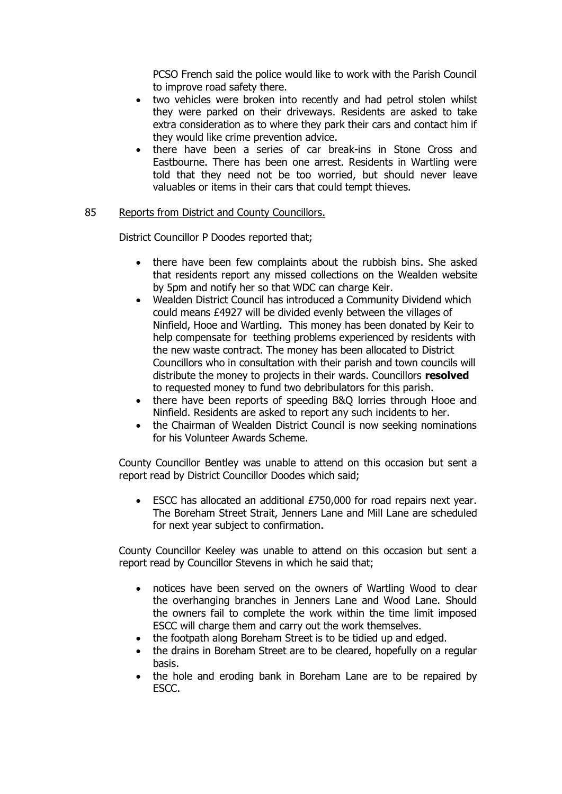PCSO French said the police would like to work with the Parish Council to improve road safety there.

- two vehicles were broken into recently and had petrol stolen whilst they were parked on their driveways. Residents are asked to take extra consideration as to where they park their cars and contact him if they would like crime prevention advice.
- there have been a series of car break-ins in Stone Cross and Eastbourne. There has been one arrest. Residents in Wartling were told that they need not be too worried, but should never leave valuables or items in their cars that could tempt thieves.

## 85 Reports from District and County Councillors.

District Councillor P Doodes reported that;

- there have been few complaints about the rubbish bins. She asked that residents report any missed collections on the Wealden website by 5pm and notify her so that WDC can charge Keir.
- Wealden District Council has introduced a Community Dividend which could means £4927 will be divided evenly between the villages of Ninfield, Hooe and Wartling. This money has been donated by Keir to help compensate for teething problems experienced by residents with the new waste contract. The money has been allocated to District Councillors who in consultation with their parish and town councils will distribute the money to projects in their wards. Councillors **resolved**  to requested money to fund two debribulators for this parish.
- there have been reports of speeding B&Q lorries through Hooe and Ninfield. Residents are asked to report any such incidents to her.
- the Chairman of Wealden District Council is now seeking nominations for his Volunteer Awards Scheme.

County Councillor Bentley was unable to attend on this occasion but sent a report read by District Councillor Doodes which said;

 ESCC has allocated an additional £750,000 for road repairs next year. The Boreham Street Strait, Jenners Lane and Mill Lane are scheduled for next year subject to confirmation.

County Councillor Keeley was unable to attend on this occasion but sent a report read by Councillor Stevens in which he said that;

- notices have been served on the owners of Wartling Wood to clear the overhanging branches in Jenners Lane and Wood Lane. Should the owners fail to complete the work within the time limit imposed ESCC will charge them and carry out the work themselves.
- the footpath along Boreham Street is to be tidied up and edged.
- the drains in Boreham Street are to be cleared, hopefully on a regular basis.
- the hole and eroding bank in Boreham Lane are to be repaired by ESCC.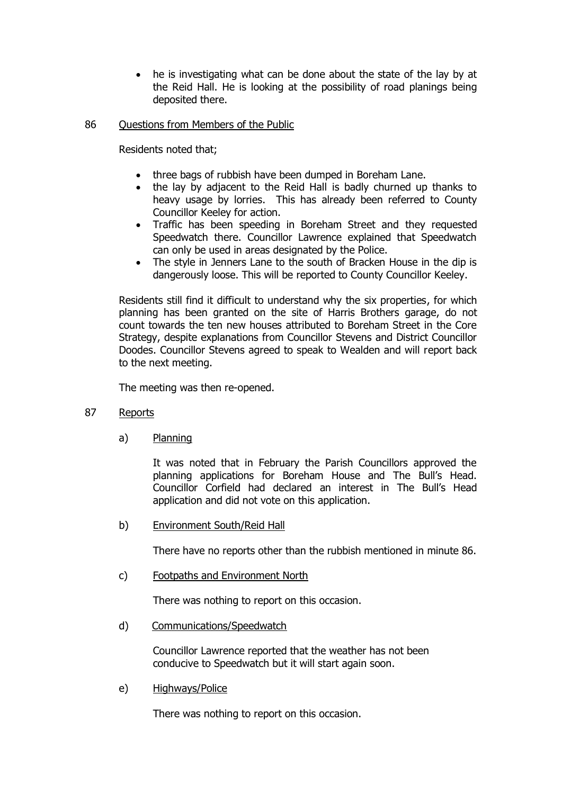he is investigating what can be done about the state of the lay by at the Reid Hall. He is looking at the possibility of road planings being deposited there.

## 86 Questions from Members of the Public

Residents noted that;

- three bags of rubbish have been dumped in Boreham Lane.
- the lay by adjacent to the Reid Hall is badly churned up thanks to heavy usage by lorries. This has already been referred to County Councillor Keeley for action.
- Traffic has been speeding in Boreham Street and they requested Speedwatch there. Councillor Lawrence explained that Speedwatch can only be used in areas designated by the Police.
- The style in Jenners Lane to the south of Bracken House in the dip is dangerously loose. This will be reported to County Councillor Keeley.

Residents still find it difficult to understand why the six properties, for which planning has been granted on the site of Harris Brothers garage, do not count towards the ten new houses attributed to Boreham Street in the Core Strategy, despite explanations from Councillor Stevens and District Councillor Doodes. Councillor Stevens agreed to speak to Wealden and will report back to the next meeting.

The meeting was then re-opened.

- 87 Reports
	- a) Planning

It was noted that in February the Parish Councillors approved the planning applications for Boreham House and The Bull's Head. Councillor Corfield had declared an interest in The Bull's Head application and did not vote on this application.

b) Environment South/Reid Hall

There have no reports other than the rubbish mentioned in minute 86.

c) Footpaths and Environment North

There was nothing to report on this occasion.

d) Communications/Speedwatch

Councillor Lawrence reported that the weather has not been conducive to Speedwatch but it will start again soon.

e) Highways/Police

There was nothing to report on this occasion.